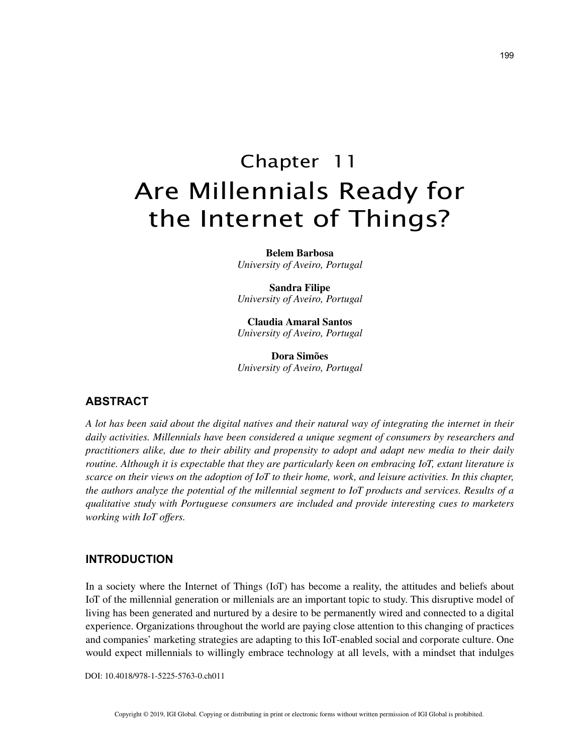# Chapter 11 Are Millennials Ready for the Internet of Things?

**Belem Barbosa** *University of Aveiro, Portugal*

**Sandra Filipe** *University of Aveiro, Portugal*

**Claudia Amaral Santos** *University of Aveiro, Portugal*

**Dora Simões** *University of Aveiro, Portugal*

## **ABSTRACT**

*A lot has been said about the digital natives and their natural way of integrating the internet in their daily activities. Millennials have been considered a unique segment of consumers by researchers and practitioners alike, due to their ability and propensity to adopt and adapt new media to their daily routine. Although it is expectable that they are particularly keen on embracing IoT, extant literature is scarce on their views on the adoption of IoT to their home, work, and leisure activities. In this chapter, the authors analyze the potential of the millennial segment to IoT products and services. Results of a qualitative study with Portuguese consumers are included and provide interesting cues to marketers working with IoT offers.*

### **INTRODUCTION**

In a society where the Internet of Things (IoT) has become a reality, the attitudes and beliefs about IoT of the millennial generation or millenials are an important topic to study. This disruptive model of living has been generated and nurtured by a desire to be permanently wired and connected to a digital experience. Organizations throughout the world are paying close attention to this changing of practices and companies' marketing strategies are adapting to this IoT-enabled social and corporate culture. One would expect millennials to willingly embrace technology at all levels, with a mindset that indulges

DOI: 10.4018/978-1-5225-5763-0.ch011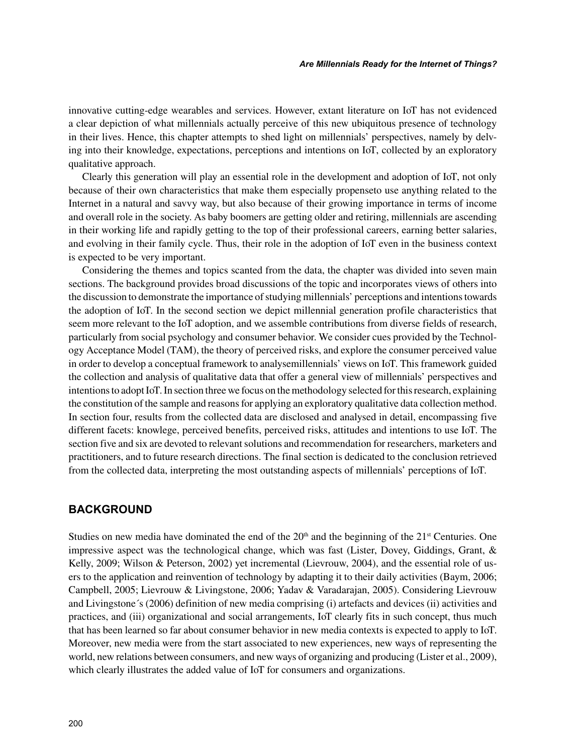innovative cutting-edge wearables and services. However, extant literature on IoT has not evidenced a clear depiction of what millennials actually perceive of this new ubiquitous presence of technology in their lives. Hence, this chapter attempts to shed light on millennials' perspectives, namely by delving into their knowledge, expectations, perceptions and intentions on IoT, collected by an exploratory qualitative approach.

Clearly this generation will play an essential role in the development and adoption of IoT, not only because of their own characteristics that make them especially propenseto use anything related to the Internet in a natural and savvy way, but also because of their growing importance in terms of income and overall role in the society. As baby boomers are getting older and retiring, millennials are ascending in their working life and rapidly getting to the top of their professional careers, earning better salaries, and evolving in their family cycle. Thus, their role in the adoption of IoT even in the business context is expected to be very important.

Considering the themes and topics scanted from the data, the chapter was divided into seven main sections. The background provides broad discussions of the topic and incorporates views of others into the discussion to demonstrate the importance of studying millennials' perceptions and intentions towards the adoption of IoT. In the second section we depict millennial generation profile characteristics that seem more relevant to the IoT adoption, and we assemble contributions from diverse fields of research, particularly from social psychology and consumer behavior. We consider cues provided by the Technology Acceptance Model (TAM), the theory of perceived risks, and explore the consumer perceived value in order to develop a conceptual framework to analysemillennials' views on IoT. This framework guided the collection and analysis of qualitative data that offer a general view of millennials' perspectives and intentions to adopt IoT. In section three we focus on the methodology selected for this research, explaining the constitution of the sample and reasons for applying an exploratory qualitative data collection method. In section four, results from the collected data are disclosed and analysed in detail, encompassing five different facets: knowlege, perceived benefits, perceived risks, attitudes and intentions to use IoT. The section five and six are devoted to relevant solutions and recommendation for researchers, marketers and practitioners, and to future research directions. The final section is dedicated to the conclusion retrieved from the collected data, interpreting the most outstanding aspects of millennials' perceptions of IoT.

## **BACKGROUND**

Studies on new media have dominated the end of the  $20<sup>th</sup>$  and the beginning of the  $21<sup>st</sup>$  Centuries. One impressive aspect was the technological change, which was fast (Lister, Dovey, Giddings, Grant, & Kelly, 2009; Wilson & Peterson, 2002) yet incremental (Lievrouw, 2004), and the essential role of users to the application and reinvention of technology by adapting it to their daily activities (Baym, 2006; Campbell, 2005; Lievrouw & Livingstone, 2006; Yadav & Varadarajan, 2005). Considering Lievrouw and Livingstone´s (2006) definition of new media comprising (i) artefacts and devices (ii) activities and practices, and (iii) organizational and social arrangements, IoT clearly fits in such concept, thus much that has been learned so far about consumer behavior in new media contexts is expected to apply to IoT. Moreover, new media were from the start associated to new experiences, new ways of representing the world, new relations between consumers, and new ways of organizing and producing (Lister et al., 2009), which clearly illustrates the added value of IoT for consumers and organizations.